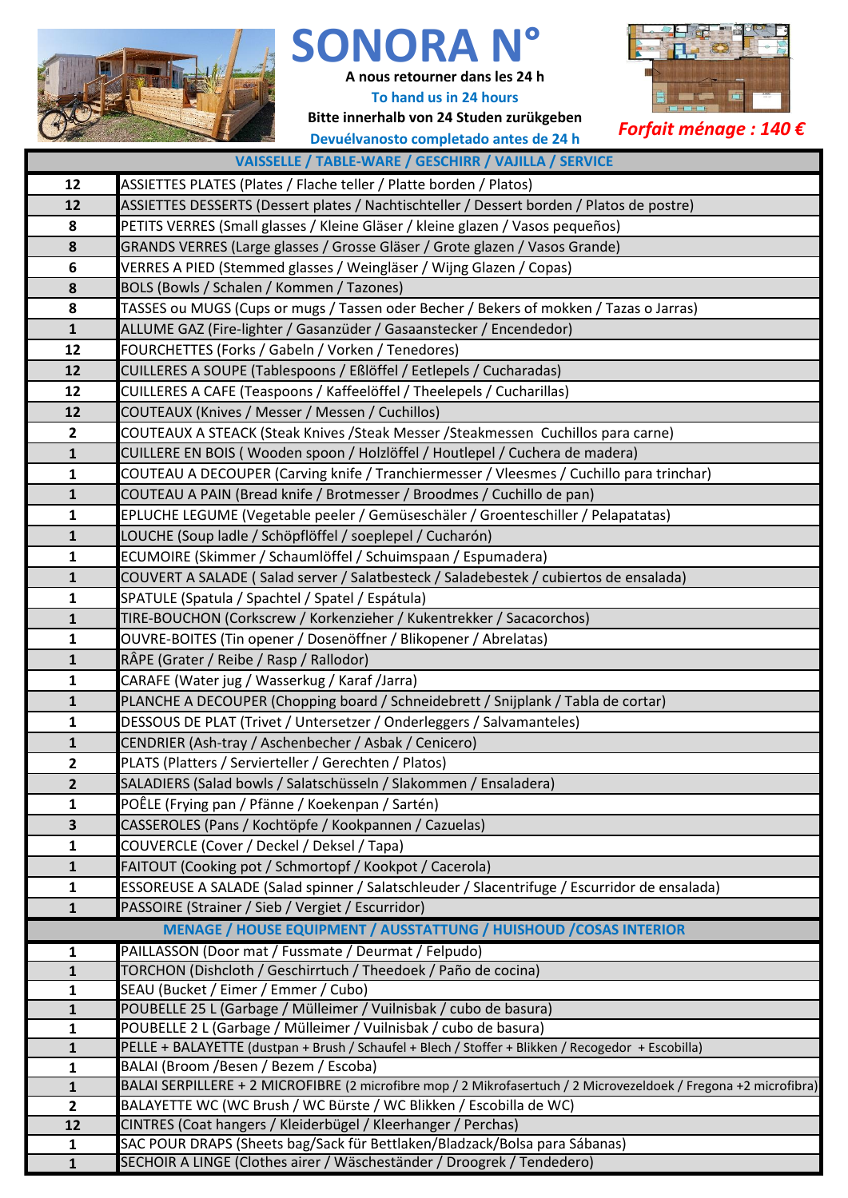

## SONORA

**A nous retourner dans les 24 h**

**To hand us in 24 hours**

**Bitte innerhalb von 24 Studen zurükgeben** *Forfait ménage : 140 €* **Devuélvanosto completado antes de 24 h**



| VAISSELLE / TABLE-WARE / GESCHIRR / VAJILLA / SERVICE |                                                                                                                                       |  |  |  |  |  |
|-------------------------------------------------------|---------------------------------------------------------------------------------------------------------------------------------------|--|--|--|--|--|
| 12                                                    | ASSIETTES PLATES (Plates / Flache teller / Platte borden / Platos)                                                                    |  |  |  |  |  |
| 12                                                    | ASSIETTES DESSERTS (Dessert plates / Nachtischteller / Dessert borden / Platos de postre)                                             |  |  |  |  |  |
| 8                                                     | PETITS VERRES (Small glasses / Kleine Gläser / kleine glazen / Vasos pequeños)                                                        |  |  |  |  |  |
| 8                                                     | GRANDS VERRES (Large glasses / Grosse Gläser / Grote glazen / Vasos Grande)                                                           |  |  |  |  |  |
| 6                                                     | VERRES A PIED (Stemmed glasses / Weingläser / Wijng Glazen / Copas)                                                                   |  |  |  |  |  |
| 8                                                     | BOLS (Bowls / Schalen / Kommen / Tazones)                                                                                             |  |  |  |  |  |
| 8                                                     | TASSES ou MUGS (Cups or mugs / Tassen oder Becher / Bekers of mokken / Tazas o Jarras)                                                |  |  |  |  |  |
| $\mathbf{1}$                                          | ALLUME GAZ (Fire-lighter / Gasanzüder / Gasaanstecker / Encendedor)                                                                   |  |  |  |  |  |
| 12                                                    | FOURCHETTES (Forks / Gabeln / Vorken / Tenedores)                                                                                     |  |  |  |  |  |
| 12                                                    | CUILLERES A SOUPE (Tablespoons / Eßlöffel / Eetlepels / Cucharadas)                                                                   |  |  |  |  |  |
| 12                                                    | CUILLERES A CAFE (Teaspoons / Kaffeelöffel / Theelepels / Cucharillas)                                                                |  |  |  |  |  |
| 12                                                    | COUTEAUX (Knives / Messer / Messen / Cuchillos)                                                                                       |  |  |  |  |  |
| $\mathbf{2}$                                          | COUTEAUX A STEACK (Steak Knives / Steak Messer / Steakmessen Cuchillos para carne)                                                    |  |  |  |  |  |
| $\mathbf{1}$                                          | CUILLERE EN BOIS (Wooden spoon / Holzlöffel / Houtlepel / Cuchera de madera)                                                          |  |  |  |  |  |
| 1                                                     | COUTEAU A DECOUPER (Carving knife / Tranchiermesser / Vleesmes / Cuchillo para trinchar)                                              |  |  |  |  |  |
| $\mathbf{1}$                                          | COUTEAU A PAIN (Bread knife / Brotmesser / Broodmes / Cuchillo de pan)                                                                |  |  |  |  |  |
| $\mathbf{1}$                                          | EPLUCHE LEGUME (Vegetable peeler / Gemüseschäler / Groenteschiller / Pelapatatas)                                                     |  |  |  |  |  |
| $\mathbf{1}$                                          | LOUCHE (Soup ladle / Schöpflöffel / soeplepel / Cucharón)                                                                             |  |  |  |  |  |
| $\mathbf{1}$                                          | ECUMOIRE (Skimmer / Schaumlöffel / Schuimspaan / Espumadera)                                                                          |  |  |  |  |  |
| $\mathbf{1}$                                          | COUVERT A SALADE (Salad server / Salatbesteck / Saladebestek / cubiertos de ensalada)                                                 |  |  |  |  |  |
| $\mathbf{1}$                                          | SPATULE (Spatula / Spachtel / Spatel / Espátula)                                                                                      |  |  |  |  |  |
| $\mathbf{1}$                                          | TIRE-BOUCHON (Corkscrew / Korkenzieher / Kukentrekker / Sacacorchos)                                                                  |  |  |  |  |  |
| $\mathbf{1}$                                          | OUVRE-BOITES (Tin opener / Dosenöffner / Blikopener / Abrelatas)                                                                      |  |  |  |  |  |
| $\mathbf{1}$                                          | RÂPE (Grater / Reibe / Rasp / Rallodor)                                                                                               |  |  |  |  |  |
| $\mathbf{1}$                                          | CARAFE (Water jug / Wasserkug / Karaf /Jarra)                                                                                         |  |  |  |  |  |
| $\mathbf{1}$                                          | PLANCHE A DECOUPER (Chopping board / Schneidebrett / Snijplank / Tabla de cortar)                                                     |  |  |  |  |  |
| $\mathbf{1}$                                          | DESSOUS DE PLAT (Trivet / Untersetzer / Onderleggers / Salvamanteles)                                                                 |  |  |  |  |  |
| $\mathbf{1}$                                          | CENDRIER (Ash-tray / Aschenbecher / Asbak / Cenicero)                                                                                 |  |  |  |  |  |
| $\mathbf{2}$                                          | PLATS (Platters / Servierteller / Gerechten / Platos)                                                                                 |  |  |  |  |  |
| $\overline{\mathbf{2}}$                               | SALADIERS (Salad bowls / Salatschüsseln / Slakommen / Ensaladera)                                                                     |  |  |  |  |  |
| 1                                                     | POÊLE (Frying pan / Pfänne / Koekenpan / Sartén)                                                                                      |  |  |  |  |  |
| 3                                                     | CASSEROLES (Pans / Kochtöpfe / Kookpannen / Cazuelas)                                                                                 |  |  |  |  |  |
| $\mathbf{1}$                                          | COUVERCLE (Cover / Deckel / Deksel / Tapa)                                                                                            |  |  |  |  |  |
| $\mathbf{1}$                                          | FAITOUT (Cooking pot / Schmortopf / Kookpot / Cacerola)                                                                               |  |  |  |  |  |
| 1                                                     | ESSOREUSE A SALADE (Salad spinner / Salatschleuder / Slacentrifuge / Escurridor de ensalada)                                          |  |  |  |  |  |
| $\mathbf{1}$                                          | PASSOIRE (Strainer / Sieb / Vergiet / Escurridor)                                                                                     |  |  |  |  |  |
|                                                       | MENAGE / HOUSE EQUIPMENT / AUSSTATTUNG / HUISHOUD / COSAS INTERIOR                                                                    |  |  |  |  |  |
| 1                                                     | PAILLASSON (Door mat / Fussmate / Deurmat / Felpudo)                                                                                  |  |  |  |  |  |
| $\mathbf{1}$                                          | TORCHON (Dishcloth / Geschirrtuch / Theedoek / Paño de cocina)                                                                        |  |  |  |  |  |
| 1                                                     | SEAU (Bucket / Eimer / Emmer / Cubo)                                                                                                  |  |  |  |  |  |
| $\mathbf{1}$                                          | POUBELLE 25 L (Garbage / Mülleimer / Vuilnisbak / cubo de basura)<br>POUBELLE 2 L (Garbage / Mülleimer / Vuilnisbak / cubo de basura) |  |  |  |  |  |
| 1<br>$\mathbf{1}$                                     | PELLE + BALAYETTE (dustpan + Brush / Schaufel + Blech / Stoffer + Blikken / Recogedor + Escobilla)                                    |  |  |  |  |  |
| $\mathbf{1}$                                          | BALAI (Broom /Besen / Bezem / Escoba)                                                                                                 |  |  |  |  |  |
| $\mathbf{1}$                                          | BALAI SERPILLERE + 2 MICROFIBRE (2 microfibre mop / 2 Mikrofasertuch / 2 Microvezeldoek / Fregona +2 microfibra)                      |  |  |  |  |  |
| $\overline{2}$                                        | BALAYETTE WC (WC Brush / WC Bürste / WC Blikken / Escobilla de WC)                                                                    |  |  |  |  |  |
| 12                                                    | CINTRES (Coat hangers / Kleiderbügel / Kleerhanger / Perchas)                                                                         |  |  |  |  |  |
| $\mathbf{1}$                                          | SAC POUR DRAPS (Sheets bag/Sack für Bettlaken/Bladzack/Bolsa para Sábanas)                                                            |  |  |  |  |  |
| $\mathbf{1}$                                          | SECHOIR A LINGE (Clothes airer / Wäscheständer / Droogrek / Tendedero)                                                                |  |  |  |  |  |